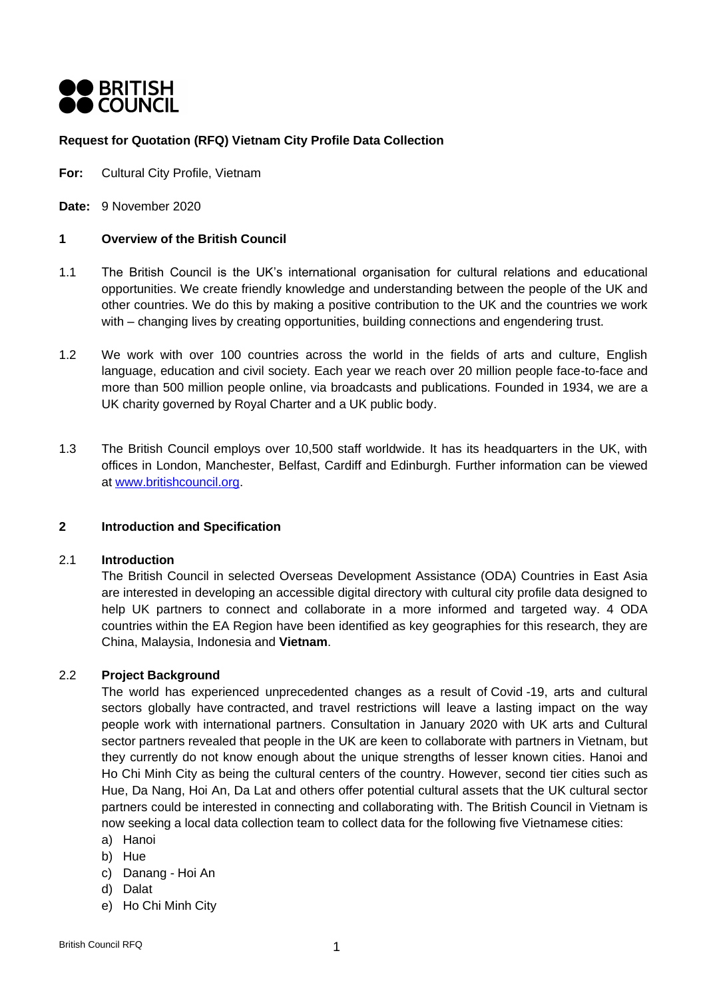

### **Request for Quotation (RFQ) Vietnam City Profile Data Collection**

**For:** Cultural City Profile, Vietnam

**Date:** 9 November 2020

#### **1 Overview of the British Council**

- 1.1 The British Council is the UK's international organisation for cultural relations and educational opportunities. We create friendly knowledge and understanding between the people of the UK and other countries. We do this by making a positive contribution to the UK and the countries we work with – changing lives by creating opportunities, building connections and engendering trust.
- 1.2 We work with over 100 countries across the world in the fields of arts and culture, English language, education and civil society. Each year we reach over 20 million people face-to-face and more than 500 million people online, via broadcasts and publications. Founded in 1934, we are a UK charity governed by Royal Charter and a UK public body.
- 1.3 The British Council employs over 10,500 staff worldwide. It has its headquarters in the UK, with offices in London, Manchester, Belfast, Cardiff and Edinburgh. Further information can be viewed at [www.britishcouncil.org.](http://www.britishcouncil.org/)

## **2 Introduction and Specification**

#### 2.1 **Introduction**

The British Council in selected Overseas Development Assistance (ODA) Countries in East Asia are interested in developing an accessible digital directory with cultural city profile data designed to help UK partners to connect and collaborate in a more informed and targeted way. 4 ODA countries within the EA Region have been identified as key geographies for this research, they are China, Malaysia, Indonesia and **Vietnam**.

#### 2.2 **Project Background**

The world has experienced unprecedented changes as a result of Covid -19, arts and cultural sectors globally have contracted, and travel restrictions will leave a lasting impact on the way people work with international partners. Consultation in January 2020 with UK arts and Cultural sector partners revealed that people in the UK are keen to collaborate with partners in Vietnam, but they currently do not know enough about the unique strengths of lesser known cities. Hanoi and Ho Chi Minh City as being the cultural centers of the country. However, second tier cities such as Hue, Da Nang, Hoi An, Da Lat and others offer potential cultural assets that the UK cultural sector partners could be interested in connecting and collaborating with. The British Council in Vietnam is now seeking a local data collection team to collect data for the following five Vietnamese cities:

- a) Hanoi
- b) Hue
- c) Danang Hoi An
- d) Dalat
- e) Ho Chi Minh City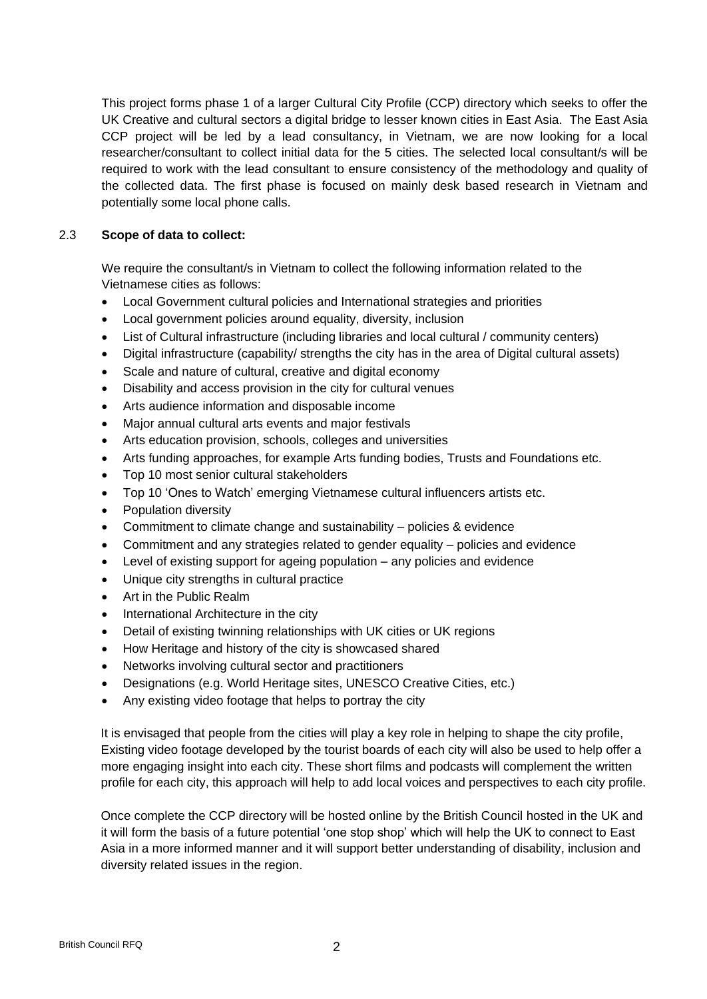This project forms phase 1 of a larger Cultural City Profile (CCP) directory which seeks to offer the UK Creative and cultural sectors a digital bridge to lesser known cities in East Asia. The East Asia CCP project will be led by a lead consultancy, in Vietnam, we are now looking for a local researcher/consultant to collect initial data for the 5 cities. The selected local consultant/s will be required to work with the lead consultant to ensure consistency of the methodology and quality of the collected data. The first phase is focused on mainly desk based research in Vietnam and potentially some local phone calls.

### 2.3 **Scope of data to collect:**

We require the consultant/s in Vietnam to collect the following information related to the Vietnamese cities as follows:

- Local Government cultural policies and International strategies and priorities
- Local government policies around equality, diversity, inclusion
- List of Cultural infrastructure (including libraries and local cultural / community centers)
- Digital infrastructure (capability/ strengths the city has in the area of Digital cultural assets)
- Scale and nature of cultural, creative and digital economy
- Disability and access provision in the city for cultural venues
- Arts audience information and disposable income
- Major annual cultural arts events and major festivals
- Arts education provision, schools, colleges and universities
- Arts funding approaches, for example Arts funding bodies, Trusts and Foundations etc.
- Top 10 most senior cultural stakeholders
- Top 10 'Ones to Watch' emerging Vietnamese cultural influencers artists etc.
- Population diversity
- Commitment to climate change and sustainability policies & evidence
- Commitment and any strategies related to gender equality policies and evidence
- Level of existing support for ageing population any policies and evidence
- Unique city strengths in cultural practice
- Art in the Public Realm
- International Architecture in the city
- Detail of existing twinning relationships with UK cities or UK regions
- How Heritage and history of the city is showcased shared
- Networks involving cultural sector and practitioners
- Designations (e.g. World Heritage sites, UNESCO Creative Cities, etc.)
- Any existing video footage that helps to portray the city

It is envisaged that people from the cities will play a key role in helping to shape the city profile, Existing video footage developed by the tourist boards of each city will also be used to help offer a more engaging insight into each city. These short films and podcasts will complement the written profile for each city, this approach will help to add local voices and perspectives to each city profile.

Once complete the CCP directory will be hosted online by the British Council hosted in the UK and it will form the basis of a future potential 'one stop shop' which will help the UK to connect to East Asia in a more informed manner and it will support better understanding of disability, inclusion and diversity related issues in the region.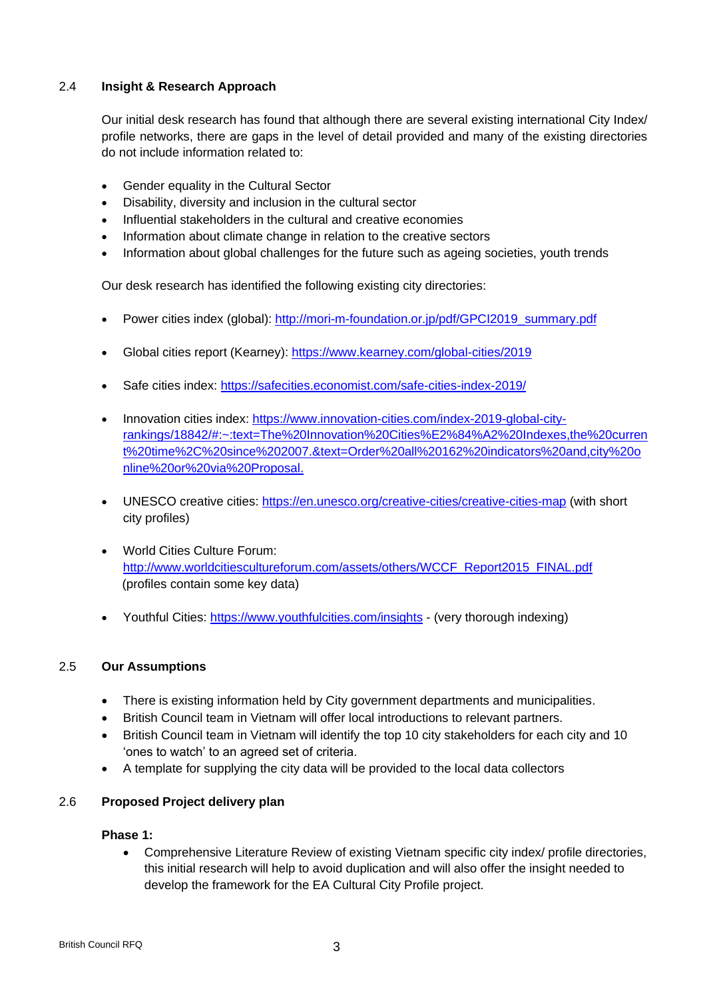# 2.4 **Insight & Research Approach**

Our initial desk research has found that although there are several existing international City Index/ profile networks, there are gaps in the level of detail provided and many of the existing directories do not include information related to:

- Gender equality in the Cultural Sector
- Disability, diversity and inclusion in the cultural sector
- Influential stakeholders in the cultural and creative economies
- Information about climate change in relation to the creative sectors
- Information about global challenges for the future such as ageing societies, youth trends

Our desk research has identified the following existing city directories:

- Power cities index (global): [http://mori-m-foundation.or.jp/pdf/GPCI2019\\_summary.pdf](http://mori-m-foundation.or.jp/pdf/GPCI2019_summary.pdf)
- Global cities report (Kearney): <https://www.kearney.com/global-cities/2019>
- Safe cities index: <https://safecities.economist.com/safe-cities-index-2019/>
- Innovation cities index: [https://www.innovation-cities.com/index-2019-global-city](https://www.innovation-cities.com/index-2019-global-city-rankings/18842/#:~:text=The%20Innovation%20Cities%E2%84%A2%20Indexes,the%20current%20time%2C%20since%202007.&text=Order%20all%20162%20indicators%20and,city%20online%20or%20via%20Proposal.)[rankings/18842/#:~:text=The%20Innovation%20Cities%E2%84%A2%20Indexes,the%20curren](https://www.innovation-cities.com/index-2019-global-city-rankings/18842/#:~:text=The%20Innovation%20Cities%E2%84%A2%20Indexes,the%20current%20time%2C%20since%202007.&text=Order%20all%20162%20indicators%20and,city%20online%20or%20via%20Proposal.) [t%20time%2C%20since%202007.&text=Order%20all%20162%20indicators%20and,city%20o](https://www.innovation-cities.com/index-2019-global-city-rankings/18842/#:~:text=The%20Innovation%20Cities%E2%84%A2%20Indexes,the%20current%20time%2C%20since%202007.&text=Order%20all%20162%20indicators%20and,city%20online%20or%20via%20Proposal.) [nline%20or%20via%20Proposal.](https://www.innovation-cities.com/index-2019-global-city-rankings/18842/#:~:text=The%20Innovation%20Cities%E2%84%A2%20Indexes,the%20current%20time%2C%20since%202007.&text=Order%20all%20162%20indicators%20and,city%20online%20or%20via%20Proposal.)
- UNESCO creative cities: <https://en.unesco.org/creative-cities/creative-cities-map> (with short city profiles)
- World Cities Culture Forum: [http://www.worldcitiescultureforum.com/assets/others/WCCF\\_Report2015\\_FINAL.pdf](http://www.worldcitiescultureforum.com/assets/others/WCCF_Report2015_FINAL.pdf) (profiles contain some key data)
- Youthful Cities:<https://www.youthfulcities.com/insights> (very thorough indexing)

# 2.5 **Our Assumptions**

- There is existing information held by City government departments and municipalities.
- British Council team in Vietnam will offer local introductions to relevant partners.
- British Council team in Vietnam will identify the top 10 city stakeholders for each city and 10 'ones to watch' to an agreed set of criteria.
- A template for supplying the city data will be provided to the local data collectors

# 2.6 **Proposed Project delivery plan**

### **Phase 1:**

• Comprehensive Literature Review of existing Vietnam specific city index/ profile directories, this initial research will help to avoid duplication and will also offer the insight needed to develop the framework for the EA Cultural City Profile project.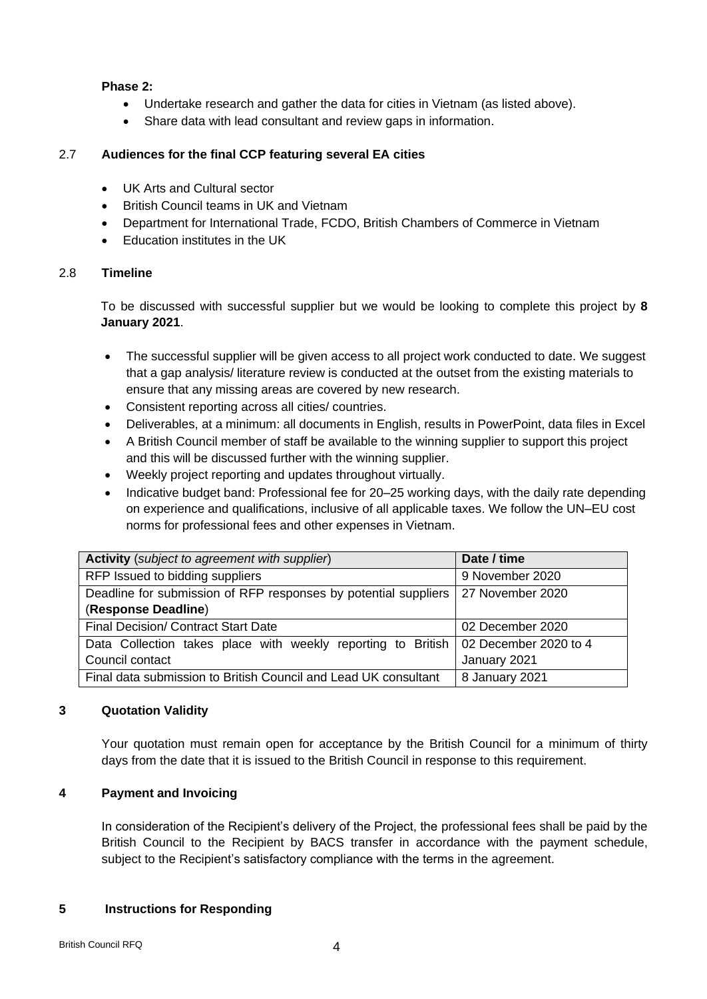### **Phase 2:**

- Undertake research and gather the data for cities in Vietnam (as listed above).
- Share data with lead consultant and review gaps in information.

### 2.7 **Audiences for the final CCP featuring several EA cities**

- UK Arts and Cultural sector
- British Council teams in UK and Vietnam
- Department for International Trade, FCDO, British Chambers of Commerce in Vietnam
- Education institutes in the UK

### 2.8 **Timeline**

To be discussed with successful supplier but we would be looking to complete this project by **8 January 2021**.

- The successful supplier will be given access to all project work conducted to date. We suggest that a gap analysis/ literature review is conducted at the outset from the existing materials to ensure that any missing areas are covered by new research.
- Consistent reporting across all cities/ countries.
- Deliverables, at a minimum: all documents in English, results in PowerPoint, data files in Excel
- A British Council member of staff be available to the winning supplier to support this project and this will be discussed further with the winning supplier.
- Weekly project reporting and updates throughout virtually.
- Indicative budget band: Professional fee for 20–25 working days, with the daily rate depending on experience and qualifications, inclusive of all applicable taxes. We follow the UN–EU cost norms for professional fees and other expenses in Vietnam.

| <b>Activity</b> (subject to agreement with supplier)                               | Date / time      |
|------------------------------------------------------------------------------------|------------------|
| RFP Issued to bidding suppliers                                                    | 9 November 2020  |
| Deadline for submission of RFP responses by potential suppliers                    | 27 November 2020 |
| (Response Deadline)                                                                |                  |
| Final Decision/ Contract Start Date                                                | 02 December 2020 |
| Data Collection takes place with weekly reporting to British 02 December 2020 to 4 |                  |
| Council contact                                                                    | January 2021     |
| Final data submission to British Council and Lead UK consultant                    | 8 January 2021   |

# **3 Quotation Validity**

Your quotation must remain open for acceptance by the British Council for a minimum of thirty days from the date that it is issued to the British Council in response to this requirement.

# **4 Payment and Invoicing**

In consideration of the Recipient's delivery of the Project, the professional fees shall be paid by the British Council to the Recipient by BACS transfer in accordance with the payment schedule, subject to the Recipient's satisfactory compliance with the terms in the agreement.

#### **5 Instructions for Responding**